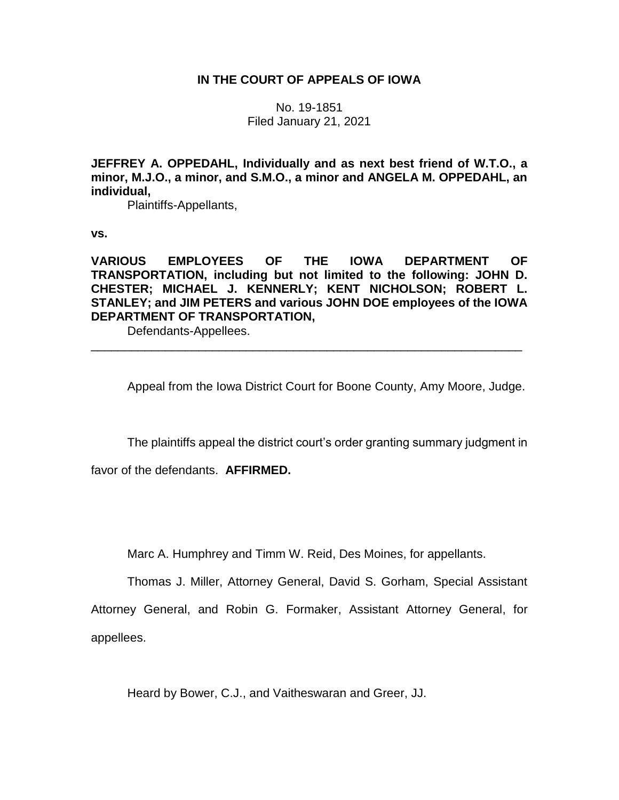## **IN THE COURT OF APPEALS OF IOWA**

No. 19-1851 Filed January 21, 2021

**JEFFREY A. OPPEDAHL, Individually and as next best friend of W.T.O., a minor, M.J.O., a minor, and S.M.O., a minor and ANGELA M. OPPEDAHL, an individual,**

Plaintiffs-Appellants,

**vs.**

**VARIOUS EMPLOYEES OF THE IOWA DEPARTMENT OF TRANSPORTATION, including but not limited to the following: JOHN D. CHESTER; MICHAEL J. KENNERLY; KENT NICHOLSON; ROBERT L. STANLEY; and JIM PETERS and various JOHN DOE employees of the IOWA DEPARTMENT OF TRANSPORTATION,**

\_\_\_\_\_\_\_\_\_\_\_\_\_\_\_\_\_\_\_\_\_\_\_\_\_\_\_\_\_\_\_\_\_\_\_\_\_\_\_\_\_\_\_\_\_\_\_\_\_\_\_\_\_\_\_\_\_\_\_\_\_\_\_\_

Defendants-Appellees.

Appeal from the Iowa District Court for Boone County, Amy Moore, Judge.

The plaintiffs appeal the district court's order granting summary judgment in

favor of the defendants. **AFFIRMED.**

Marc A. Humphrey and Timm W. Reid, Des Moines, for appellants.

Thomas J. Miller, Attorney General, David S. Gorham, Special Assistant

Attorney General, and Robin G. Formaker, Assistant Attorney General, for appellees.

Heard by Bower, C.J., and Vaitheswaran and Greer, JJ.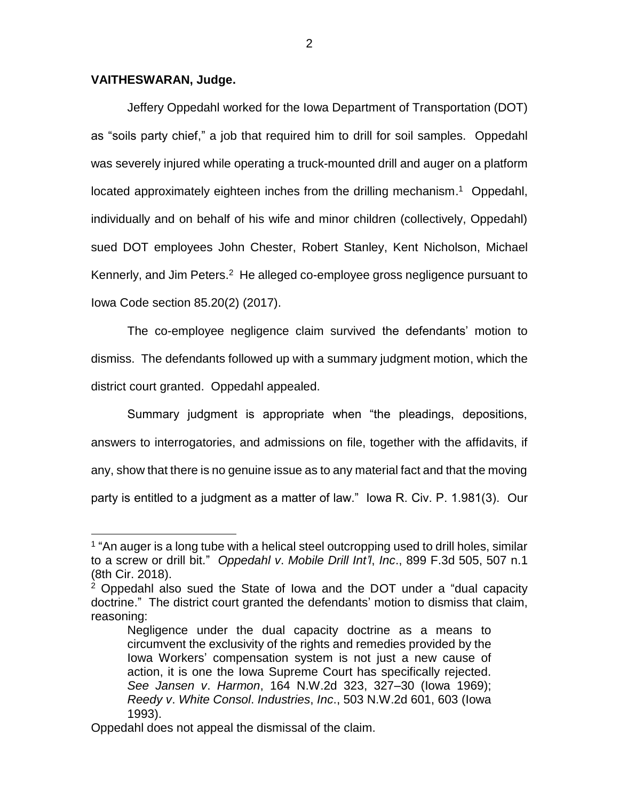## **VAITHESWARAN, Judge.**

 $\overline{a}$ 

Jeffery Oppedahl worked for the Iowa Department of Transportation (DOT) as "soils party chief," a job that required him to drill for soil samples. Oppedahl was severely injured while operating a truck-mounted drill and auger on a platform located approximately eighteen inches from the drilling mechanism.<sup>1</sup> Oppedahl, individually and on behalf of his wife and minor children (collectively, Oppedahl) sued DOT employees John Chester, Robert Stanley, Kent Nicholson, Michael Kennerly, and Jim Peters.<sup>2</sup> He alleged co-employee gross negligence pursuant to Iowa Code section 85.20(2) (2017).

The co-employee negligence claim survived the defendants' motion to dismiss. The defendants followed up with a summary judgment motion, which the district court granted. Oppedahl appealed.

Summary judgment is appropriate when "the pleadings, depositions, answers to interrogatories, and admissions on file, together with the affidavits, if any, show that there is no genuine issue as to any material fact and that the moving party is entitled to a judgment as a matter of law." Iowa R. Civ. P. 1.981(3). Our

<sup>&</sup>lt;sup>1</sup> "An auger is a long tube with a helical steel outcropping used to drill holes, similar to a screw or drill bit." *Oppedahl v*. *Mobile Drill Int'l*, *Inc*., 899 F.3d 505, 507 n.1 (8th Cir. 2018).

<sup>2</sup> Oppedahl also sued the State of Iowa and the DOT under a "dual capacity doctrine." The district court granted the defendants' motion to dismiss that claim, reasoning:

Negligence under the dual capacity doctrine as a means to circumvent the exclusivity of the rights and remedies provided by the Iowa Workers' compensation system is not just a new cause of action, it is one the Iowa Supreme Court has specifically rejected. *See Jansen v*. *Harmon*, 164 N.W.2d 323, 327–30 (Iowa 1969); *Reedy v*. *White Consol*. *Industries*, *Inc*., 503 N.W.2d 601, 603 (Iowa 1993).

Oppedahl does not appeal the dismissal of the claim.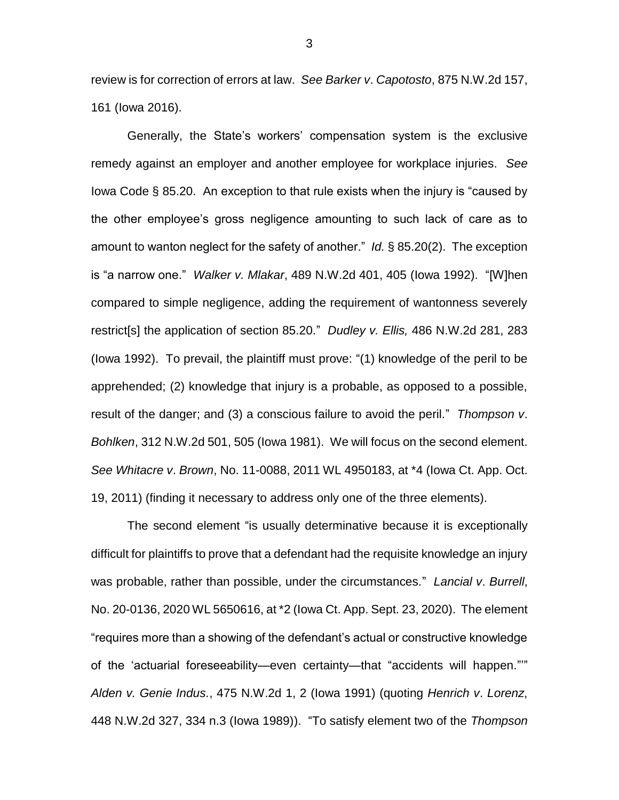review is for correction of errors at law. *See Barker v*. *Capotosto*, 875 N.W.2d 157, 161 (Iowa 2016).

Generally, the State's workers' compensation system is the exclusive remedy against an employer and another employee for workplace injuries. *See* Iowa Code § 85.20. An exception to that rule exists when the injury is "caused by the other employee's gross negligence amounting to such lack of care as to amount to wanton neglect for the safety of another." *Id.* § 85.20(2). The exception is "a narrow one." *Walker v. Mlakar*, 489 N.W.2d 401, 405 (Iowa 1992). "[W]hen compared to simple negligence, adding the requirement of wantonness severely restrict[s] the application of section 85.20." *Dudley v. Ellis,* 486 N.W.2d 281, 283 (Iowa 1992). To prevail, the plaintiff must prove: "(1) knowledge of the peril to be apprehended; (2) knowledge that injury is a probable, as opposed to a possible, result of the danger; and (3) a conscious failure to avoid the peril." *Thompson v*. *Bohlken*, 312 N.W.2d 501, 505 (Iowa 1981). We will focus on the second element. *See Whitacre v*. *Brown*, No. 11-0088, 2011 WL 4950183, at \*4 (Iowa Ct. App. Oct. 19, 2011) (finding it necessary to address only one of the three elements).

The second element "is usually determinative because it is exceptionally difficult for plaintiffs to prove that a defendant had the requisite knowledge an injury was probable, rather than possible, under the circumstances." *Lancial v*. *Burrell*, No. 20-0136, 2020 WL 5650616, at \*2 (Iowa Ct. App. Sept. 23, 2020). The element "requires more than a showing of the defendant's actual or constructive knowledge of the 'actuarial foreseeability—even certainty—that "accidents will happen."'" *Alden v. Genie Indus.*, 475 N.W.2d 1, 2 (Iowa 1991) (quoting *Henrich v*. *Lorenz*, 448 N.W.2d 327, 334 n.3 (Iowa 1989)). "To satisfy element two of the *Thompson*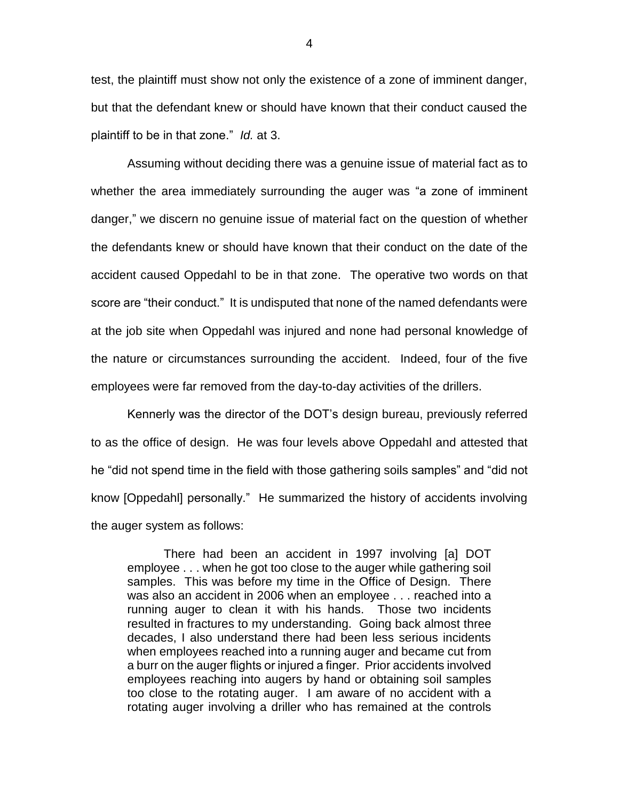test, the plaintiff must show not only the existence of a zone of imminent danger, but that the defendant knew or should have known that their conduct caused the plaintiff to be in that zone." *Id.* at 3.

Assuming without deciding there was a genuine issue of material fact as to whether the area immediately surrounding the auger was "a zone of imminent danger," we discern no genuine issue of material fact on the question of whether the defendants knew or should have known that their conduct on the date of the accident caused Oppedahl to be in that zone. The operative two words on that score are "their conduct." It is undisputed that none of the named defendants were at the job site when Oppedahl was injured and none had personal knowledge of the nature or circumstances surrounding the accident. Indeed, four of the five employees were far removed from the day-to-day activities of the drillers.

Kennerly was the director of the DOT's design bureau, previously referred to as the office of design. He was four levels above Oppedahl and attested that he "did not spend time in the field with those gathering soils samples" and "did not know [Oppedahl] personally." He summarized the history of accidents involving the auger system as follows:

There had been an accident in 1997 involving [a] DOT employee . . . when he got too close to the auger while gathering soil samples. This was before my time in the Office of Design. There was also an accident in 2006 when an employee . . . reached into a running auger to clean it with his hands. Those two incidents resulted in fractures to my understanding. Going back almost three decades, I also understand there had been less serious incidents when employees reached into a running auger and became cut from a burr on the auger flights or injured a finger. Prior accidents involved employees reaching into augers by hand or obtaining soil samples too close to the rotating auger. I am aware of no accident with a rotating auger involving a driller who has remained at the controls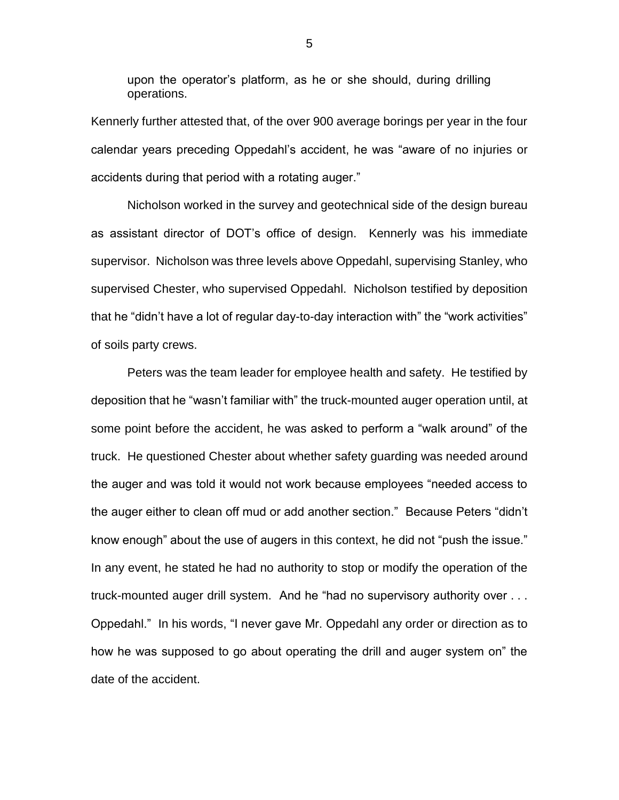upon the operator's platform, as he or she should, during drilling operations.

Kennerly further attested that, of the over 900 average borings per year in the four calendar years preceding Oppedahl's accident, he was "aware of no injuries or accidents during that period with a rotating auger."

Nicholson worked in the survey and geotechnical side of the design bureau as assistant director of DOT's office of design. Kennerly was his immediate supervisor. Nicholson was three levels above Oppedahl, supervising Stanley, who supervised Chester, who supervised Oppedahl. Nicholson testified by deposition that he "didn't have a lot of regular day-to-day interaction with" the "work activities" of soils party crews.

Peters was the team leader for employee health and safety. He testified by deposition that he "wasn't familiar with" the truck-mounted auger operation until, at some point before the accident, he was asked to perform a "walk around" of the truck. He questioned Chester about whether safety guarding was needed around the auger and was told it would not work because employees "needed access to the auger either to clean off mud or add another section." Because Peters "didn't know enough" about the use of augers in this context, he did not "push the issue." In any event, he stated he had no authority to stop or modify the operation of the truck-mounted auger drill system. And he "had no supervisory authority over . . . Oppedahl." In his words, "I never gave Mr. Oppedahl any order or direction as to how he was supposed to go about operating the drill and auger system on" the date of the accident.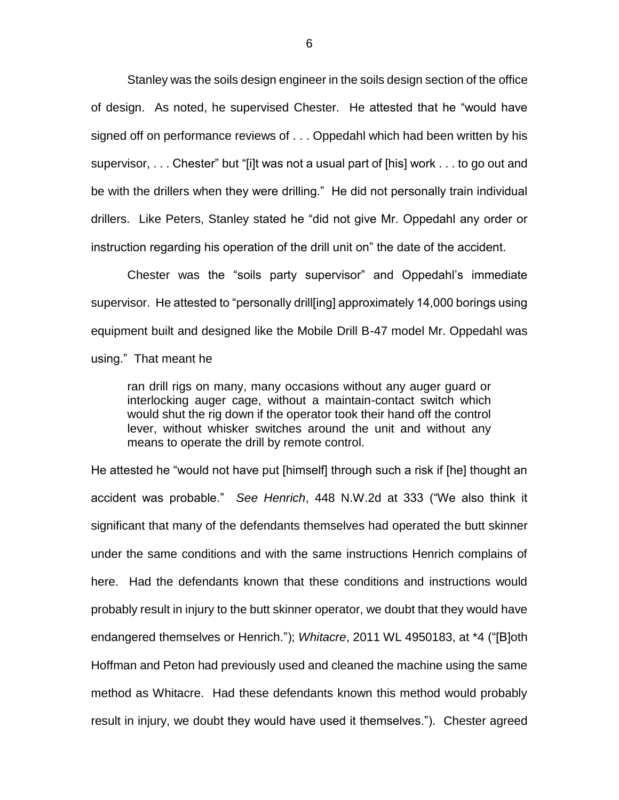Stanley was the soils design engineer in the soils design section of the office of design. As noted, he supervised Chester. He attested that he "would have signed off on performance reviews of . . . Oppedahl which had been written by his supervisor, . . . Chester" but "[i]t was not a usual part of [his] work . . . to go out and be with the drillers when they were drilling." He did not personally train individual drillers. Like Peters, Stanley stated he "did not give Mr. Oppedahl any order or instruction regarding his operation of the drill unit on" the date of the accident.

Chester was the "soils party supervisor" and Oppedahl's immediate supervisor. He attested to "personally drill[ing] approximately 14,000 borings using equipment built and designed like the Mobile Drill B-47 model Mr. Oppedahl was using." That meant he

ran drill rigs on many, many occasions without any auger guard or interlocking auger cage, without a maintain-contact switch which would shut the rig down if the operator took their hand off the control lever, without whisker switches around the unit and without any means to operate the drill by remote control.

He attested he "would not have put [himself] through such a risk if [he] thought an accident was probable." *See Henrich*, 448 N.W.2d at 333 ("We also think it significant that many of the defendants themselves had operated the butt skinner under the same conditions and with the same instructions Henrich complains of here. Had the defendants known that these conditions and instructions would probably result in injury to the butt skinner operator, we doubt that they would have endangered themselves or Henrich."); *Whitacre*, 2011 WL 4950183, at \*4 ("[B]oth Hoffman and Peton had previously used and cleaned the machine using the same method as Whitacre. Had these defendants known this method would probably result in injury, we doubt they would have used it themselves."). Chester agreed